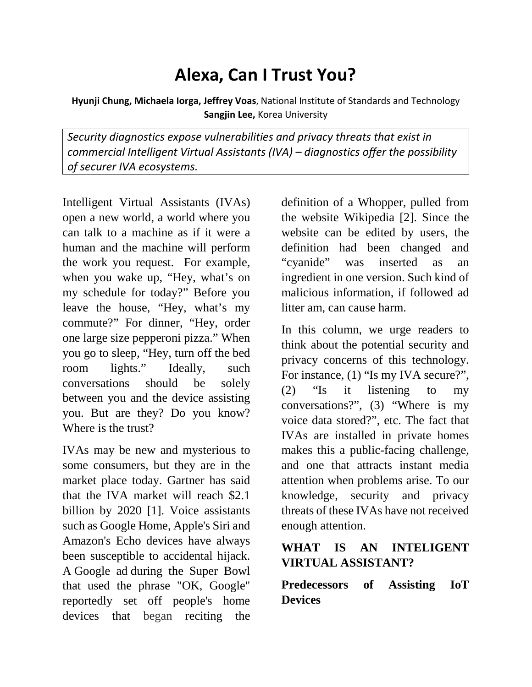# **Alexa, Can I Trust You?**

**Hyunji Chung, Michaela Iorga, Jeffrey Voas**, National Institute of Standards and Technology **Sangjin Lee,** Korea University

*Security diagnostics expose vulnerabilities and privacy threats that exist in commercial Intelligent Virtual Assistants (IVA) – diagnostics offer the possibility of securer IVA ecosystems.*

Intelligent Virtual Assistants (IVAs) open a new world, a world where you can talk to a machine as if it were a human and the machine will perform the work you request. For example, when you wake up, "Hey, what's on my schedule for today?" Before you leave the house, "Hey, what's my commute?" For dinner, "Hey, order one large size pepperoni pizza." When you go to sleep, "Hey, turn off the bed room lights." Ideally, such conversations should be solely between you and the device assisting you. But are they? Do you know? Where is the trust?

IVAs may be new and mysterious to some consumers, but they are in the market place today. Gartner has said that the IVA market will reach \$2.1 billion by 2020 [1]. Voice assistants such as Google Home, Apple's Siri and Amazon's Echo devices have always been susceptible to accidental hijack. A [Google ad](https://www.youtube.com/watch?v=aQn5wiDyUHo) during the Super Bowl that used the phrase "OK, Google" reportedly set off people's home devices that began reciting the

definition of a Whopper, pulled from the website Wikipedia [2]. Since the website can be edited by users, the definition had been changed and "cyanide" was inserted as an ingredient in one version. Such kind of malicious information, if followed ad litter am, can cause harm.

In this column, we urge readers to think about the potential security and privacy concerns of this technology. For instance, (1) "Is my IVA secure?", (2) "Is it listening to my conversations?", (3) "Where is my voice data stored?", etc. The fact that IVAs are installed in private homes makes this a public-facing challenge, and one that attracts instant media attention when problems arise. To our knowledge, security and privacy threats of these IVAs have not received enough attention.

# **WHAT IS AN INTELIGENT VIRTUAL ASSISTANT?**

**Predecessors of Assisting IoT Devices**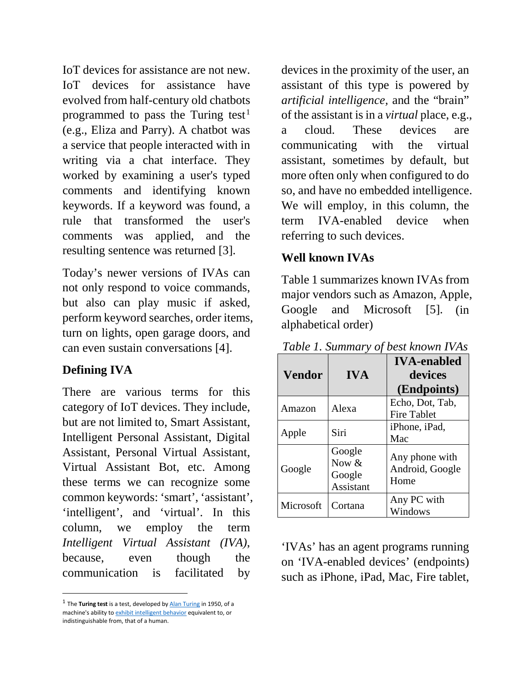IoT devices for assistance are not new. IoT devices for assistance have evolved from half-century old chatbots programmed to pass the Turing test<sup>[1](#page-1-0)</sup> (e.g., Eliza and Parry). A chatbot was a service that people interacted with in writing via a chat interface. They worked by examining a user's typed comments and identifying known keywords. If a keyword was found, a rule that transformed the user's comments was applied, and the resulting sentence was returned [3].

Today's newer versions of IVAs can not only respond to voice commands, but also can play music if asked, perform keyword searches, order items, turn on lights, open garage doors, and can even sustain conversations [4].

### **Defining IVA**

There are various terms for this category of IoT devices. They include, but are not limited to, Smart Assistant, Intelligent Personal Assistant, Digital Assistant, Personal Virtual Assistant, Virtual Assistant Bot, etc. Among these terms we can recognize some common keywords: 'smart', 'assistant', 'intelligent', and 'virtual'. In this column, we employ the term *Intelligent Virtual Assistant (IVA)*, because, even though the communication is facilitated by

<span id="page-1-0"></span><sup>1</sup> The **Turing test** is a test, developed by **[Alan Turing](https://en.wikipedia.org/wiki/Alan_Turing)** in 1950, of a machine's ability to [exhibit intelligent behavior](https://en.wikipedia.org/wiki/Artificial_intelligence) equivalent to, or indistinguishable from, that of a human.

devices in the proximity of the user, an assistant of this type is powered by *artificial intelligence,* and the "brain" of the assistant is in a *virtual* place, e.g., a cloud. These devices are communicating with the virtual assistant, sometimes by default, but more often only when configured to do so, and have no embedded intelligence. We will employ, in this column, the term IVA-enabled device when referring to such devices.

### **Well known IVAs**

Table 1 summarizes known IVAs from major vendors such as Amazon, Apple, Google and Microsoft [5]. (in alphabetical order)

| <b>Vendor</b> | <b>IVA</b>                                      | <b>IVA-enabled</b><br>devices<br>(Endpoints) |
|---------------|-------------------------------------------------|----------------------------------------------|
| Amazon        | Alexa                                           | Echo, Dot, Tab,<br><b>Fire Tablet</b>        |
| Apple         | Siri                                            | iPhone, iPad,<br>Mac                         |
| Google        | Google<br>Now $&$<br>Google<br><b>Assistant</b> | Any phone with<br>Android, Google<br>Home    |
| Microsoft     | Cortana                                         | Any PC with<br>Windows                       |

*Table 1. Summary of best known IVAs*

'IVAs' has an agent programs running on 'IVA-enabled devices' (endpoints) such as iPhone, iPad, Mac, Fire tablet,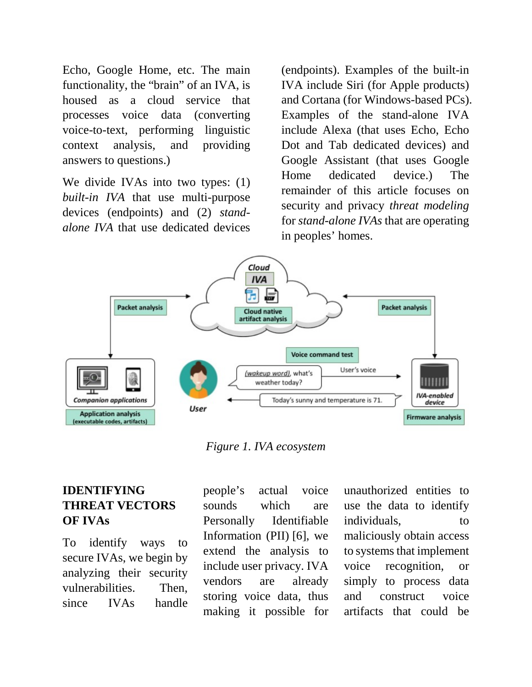Echo, Google Home, etc. The main functionality, the "brain" of an IVA, is housed as a cloud service that processes voice data (converting voice-to-text, performing linguistic context analysis, and providing answers to questions.)

We divide IVAs into two types: (1) *built-in IVA* that use multi-purpose devices (endpoints) and (2) *standalone IVA* that use dedicated devices

(endpoints). Examples of the built-in IVA include Siri (for Apple products) and Cortana (for Windows-based PCs). Examples of the stand-alone IVA include Alexa (that uses Echo, Echo Dot and Tab dedicated devices) and Google Assistant (that uses Google Home dedicated device.) The remainder of this article focuses on security and privacy *threat modeling* for *stand-alone IVAs* that are operating in peoples' homes.



*Figure 1. IVA ecosystem*

## **IDENTIFYING THREAT VECTORS OF IVAs**

To identify ways to secure IVAs, we begin by analyzing their security vulnerabilities. Then, since IVAs handle

people's actual voice sounds which are Personally Identifiable Information (PII) [6], we extend the analysis to include user privacy. IVA vendors are already storing voice data, thus making it possible for

unauthorized entities to use the data to identify individuals, to maliciously obtain access to systems that implement voice recognition, or simply to process data and construct voice artifacts that could be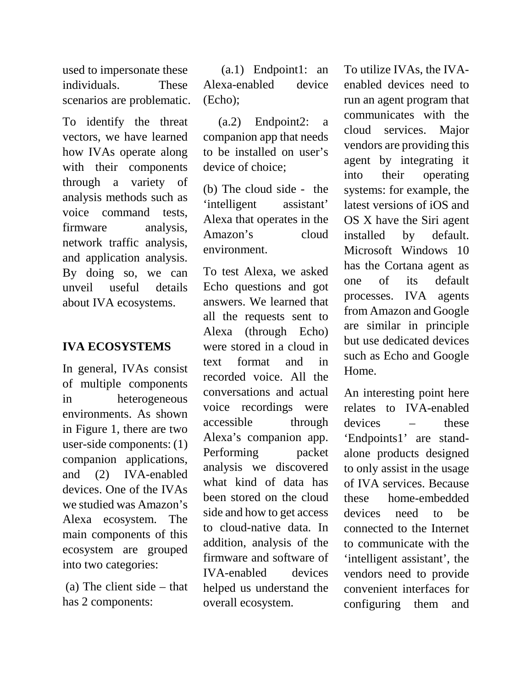used to impersonate these individuals. These scenarios are problematic.

To identify the threat vectors, we have learned how IVAs operate along with their components through a variety of analysis methods such as voice command tests, firmware analysis, network traffic analysis, and application analysis. By doing so, we can unveil useful details about IVA ecosystems.

#### **IVA ECOSYSTEMS**

In general, IVAs consist of multiple components in heterogeneous environments. As shown in Figure 1, there are two user-side components: (1) companion applications, and (2) IVA-enabled devices. One of the IVAs we studied was Amazon's Alexa ecosystem. The main components of this ecosystem are grouped into two categories:

(a) The client side – that has 2 components:

 (a.1) Endpoint1: an Alexa-enabled device (Echo);

 (a.2) Endpoint2: a companion app that needs to be installed on user's device of choice;

(b) The cloud side - the 'intelligent assistant' Alexa that operates in the Amazon's cloud environment.

To test Alexa, we asked Echo questions and got answers. We learned that all the requests sent to Alexa (through Echo) were stored in a cloud in text format and in recorded voice. All the conversations and actual voice recordings were accessible through Alexa's companion app. Performing packet analysis we discovered what kind of data has been stored on the cloud side and how to get access to cloud-native data. In addition, analysis of the firmware and software of IVA-enabled devices helped us understand the overall ecosystem.

To utilize IVAs, the IVAenabled devices need to run an agent program that communicates with the cloud services. Major vendors are providing this agent by integrating it into their operating systems: for example, the latest versions of iOS and OS X have the Siri agent installed by default. Microsoft Windows 10 has the Cortana agent as one of its default processes. IVA agents from Amazon and Google are similar in principle but use dedicated devices such as Echo and Google Home.

An interesting point here relates to IVA-enabled devices – these 'Endpoints1' are standalone products designed to only assist in the usage of IVA services. Because these home-embedded devices need to be connected to the Internet to communicate with the 'intelligent assistant', the vendors need to provide convenient interfaces for configuring them and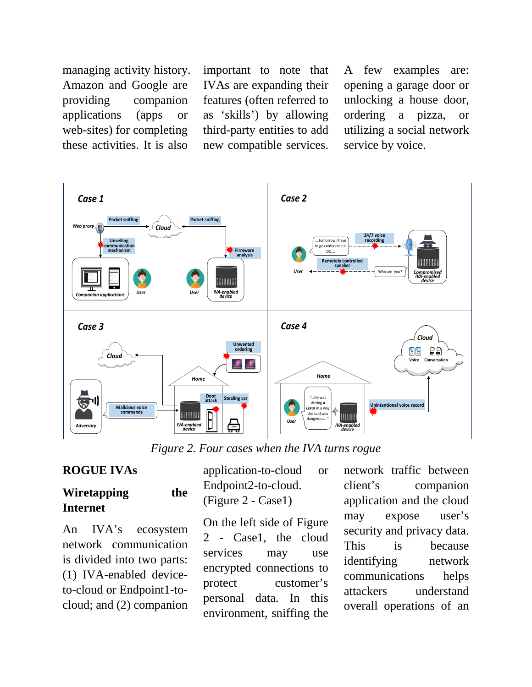managing activity history. Amazon and Google are providing companion applications (apps or web-sites) for completing these activities. It is also

important to note that IVAs are expanding their features (often referred to as 'skills') by allowing third-party entities to add new compatible services.

A few examples are: opening a garage door or unlocking a house door, ordering a pizza, or utilizing a social network service by voice.



*Figure 2. Four cases when the IVA turns rogue*

#### **ROGUE IVAs**

## **Wiretapping the Internet**

An IVA's ecosystem network communication is divided into two parts: (1) IVA-enabled deviceto-cloud or Endpoint1-tocloud; and (2) companion

application-to-cloud or Endpoint2-to-cloud. (Figure 2 - Case1)

On the left side of Figure 2 - Case1, the cloud services may use encrypted connections to protect customer's personal data. In this environment, sniffing the network traffic between client's companion application and the cloud may expose user's security and privacy data. This is because identifying network communications helps attackers understand overall operations of an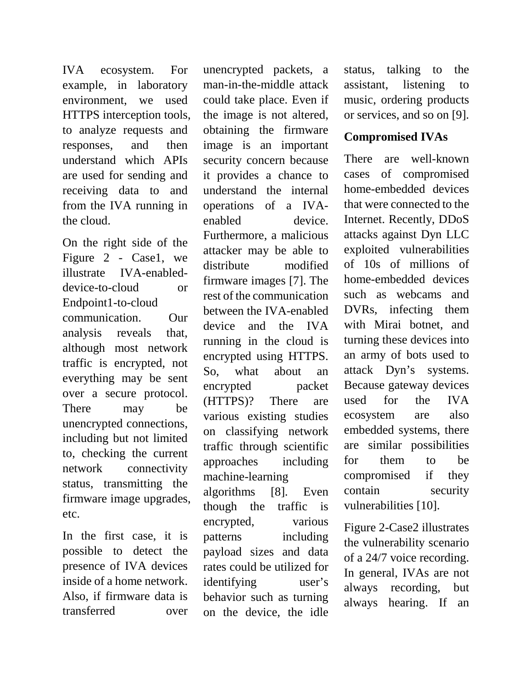IVA ecosystem. For example, in laboratory environment, we used HTTPS interception tools, to analyze requests and responses, and then understand which APIs are used for sending and receiving data to and from the IVA running in the cloud.

On the right side of the Figure 2 - Case1, we illustrate IVA-enableddevice-to-cloud or Endpoint1-to-cloud communication. Our analysis reveals that, although most network traffic is encrypted, not everything may be sent over a secure protocol. There may be unencrypted connections, including but not limited to, checking the current network connectivity status, transmitting the firmware image upgrades, etc.

In the first case, it is possible to detect the presence of IVA devices inside of a home network. Also, if firmware data is transferred over

unencrypted packets, a man-in-the-middle attack could take place. Even if the image is not altered, obtaining the firmware image is an important security concern because it provides a chance to understand the internal operations of a IVAenabled device. Furthermore, a malicious attacker may be able to distribute modified firmware images [7]. The rest of the communication between the IVA-enabled device and the IVA running in the cloud is encrypted using HTTPS. So, what about an encrypted packet (HTTPS)? There are various existing studies on classifying network traffic through scientific approaches including machine-learning algorithms [8]. Even though the traffic is encrypted, various patterns including payload sizes and data rates could be utilized for identifying user's behavior such as turning on the device, the idle

status, talking to the assistant, listening to music, ordering products or services, and so on [9].

## **Compromised IVAs**

There are well-known cases of compromised home-embedded devices that were connected to the Internet. Recently, DDoS attacks against Dyn LLC exploited vulnerabilities of 10s of millions of home-embedded devices such as webcams and DVRs, infecting them with Mirai botnet, and turning these devices into an army of bots used to attack Dyn's systems. Because gateway devices used for the IVA ecosystem are also embedded systems, there are similar possibilities for them to be compromised if they contain security vulnerabilities [10].

Figure 2-Case2 illustrates the vulnerability scenario of a 24/7 voice recording. In general, IVAs are not always recording, but always hearing. If an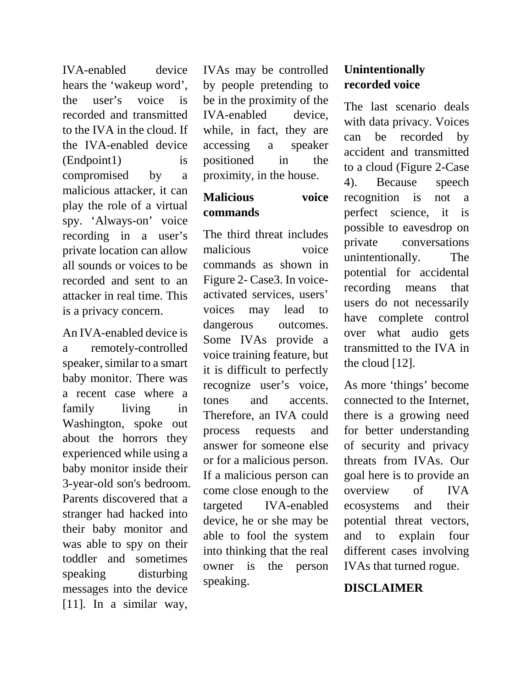IVA-enabled device hears the 'wakeup word', the user's voice is recorded and transmitted to the IVA in the cloud. If the IVA-enabled device (Endpoint1) is compromised by a malicious attacker, it can play the role of a virtual spy. 'Always-on' voice recording in a user's private location can allow all sounds or voices to be recorded and sent to an attacker in real time. This is a privacy concern.

An IVA-enabled device is a remotely-controlled speaker, similar to a smart baby monitor. There was a recent case where a family living in Washington, spoke out about the horrors they experienced while using a baby monitor inside their 3-year-old son's bedroom. Parents discovered that a stranger had hacked into their baby monitor and was able to spy on their toddler and sometimes speaking disturbing messages into the device [11]. In a similar way,

IVAs may be controlled by people pretending to be in the proximity of the IVA-enabled device, while, in fact, they are accessing a speaker positioned in the proximity, in the house.

## **Malicious voice commands**

The third threat includes malicious voice commands as shown in Figure 2- Case3. In voiceactivated services, users' voices may lead to dangerous outcomes. Some IVAs provide a voice training feature, but it is difficult to perfectly recognize user's voice, tones and accents. Therefore, an IVA could process requests and answer for someone else or for a malicious person. If a malicious person can come close enough to the targeted IVA-enabled device, he or she may be able to fool the system into thinking that the real owner is the person speaking.

# **Unintentionally recorded voice**

The last scenario deals with data privacy. Voices can be recorded by accident and transmitted to a cloud (Figure 2-Case 4). Because speech recognition is not a perfect science, it is possible to eavesdrop on private conversations unintentionally. The potential for accidental recording means that users do not necessarily have complete control over what audio gets transmitted to the IVA in the cloud [12].

As more 'things' become connected to the Internet, there is a growing need for better understanding of security and privacy threats from IVAs. Our goal here is to provide an overview of IVA ecosystems and their potential threat vectors, and to explain four different cases involving IVAs that turned rogue.

#### **DISCLAIMER**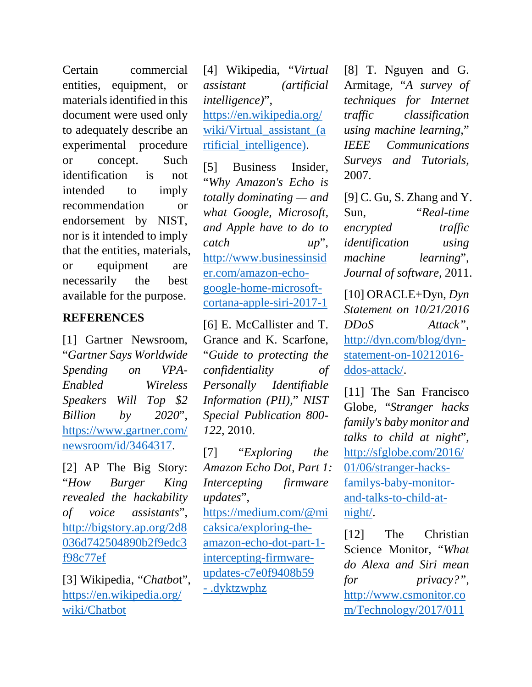Certain commercial entities, equipment, or materials identified in this document were used only to adequately describe an experimental procedure or concept. Such identification is not intended to imply recommendation or endorsement by NIST, nor is it intended to imply that the entities, materials, or equipment are necessarily the best available for the purpose.

#### **REFERENCES**

[1] Gartner Newsroom, "*Gartner Says Worldwide Spending on VPA-Enabled Wireless Speakers Will Top \$2 Billion by 2020*", [https://www.gartner.com/](https://www.gartner.com/newsroom/id/3464317) [newsroom/id/3464317.](https://www.gartner.com/newsroom/id/3464317)

[2] AP The Big Story: "*How Burger King revealed the hackability of voice assistants*", [http://bigstory.ap.org/2d8](http://bigstory.ap.org/2d8036d742504890b2f9edc3f98c77ef) [036d742504890b2f9edc3](http://bigstory.ap.org/2d8036d742504890b2f9edc3f98c77ef) [f98c77ef](http://bigstory.ap.org/2d8036d742504890b2f9edc3f98c77ef)

[3] Wikipedia, "*Chatbo*t", [https://en.wikipedia.org/](https://en.wikipedia.org/wiki/Chatbot) [wiki/Chatbot](https://en.wikipedia.org/wiki/Chatbot)

[4] Wikipedia, "*Virtual assistant (artificial intelligence)*", [https://en.wikipedia.org/](https://en.wikipedia.org/wiki/Virtual_assistant_(artificial_intelligence)) wiki/Virtual assistant (a [rtificial\\_intelligence\).](https://en.wikipedia.org/wiki/Virtual_assistant_(artificial_intelligence))

[5] Business Insider, "*Why Amazon's Echo is totally dominating — and what Google, Microsoft, and Apple have to do to catch up*", [http://www.businessinsid](http://www.businessinsider.com/amazon-echo-google-home-microsoft-cortana-apple-siri-2017-1) [er.com/amazon-echo](http://www.businessinsider.com/amazon-echo-google-home-microsoft-cortana-apple-siri-2017-1)[google-home-microsoft](http://www.businessinsider.com/amazon-echo-google-home-microsoft-cortana-apple-siri-2017-1)[cortana-apple-siri-2017-1](http://www.businessinsider.com/amazon-echo-google-home-microsoft-cortana-apple-siri-2017-1)

[6] E. McCallister and T. Grance and K. Scarfone, "*Guide to protecting the confidentiality of Personally Identifiable Information (PII)*," *NIST Special Publication 800- 122*, 2010.

[7] "*Exploring the Amazon Echo Dot, Part 1: Intercepting firmware updates*", [https://medium.com/@mi](https://medium.com/@micaksica/exploring-the-amazon-echo-dot-part-1-intercepting-firmware-updates-c7e0f9408b59#.dyktzwphz) [caksica/exploring-the](https://medium.com/@micaksica/exploring-the-amazon-echo-dot-part-1-intercepting-firmware-updates-c7e0f9408b59#.dyktzwphz)[amazon-echo-dot-part-1](https://medium.com/@micaksica/exploring-the-amazon-echo-dot-part-1-intercepting-firmware-updates-c7e0f9408b59#.dyktzwphz) [intercepting-firmware](https://medium.com/@micaksica/exploring-the-amazon-echo-dot-part-1-intercepting-firmware-updates-c7e0f9408b59#.dyktzwphz)[updates-c7e0f9408b59](https://medium.com/@micaksica/exploring-the-amazon-echo-dot-part-1-intercepting-firmware-updates-c7e0f9408b59#.dyktzwphz)  - [.dyktzwphz](https://medium.com/@micaksica/exploring-the-amazon-echo-dot-part-1-intercepting-firmware-updates-c7e0f9408b59#.dyktzwphz)

[8] T. Nguyen and G. Armitage, "*A survey of techniques for Internet traffic classification using machine learning*," *IEEE Communications Surveys and Tutorials*, 2007.

[9] C. Gu, S. Zhang and Y. Sun, "*Real-time encrypted traffic identification using machine learning*", *Journal of software*, 2011.

[10] ORACLE+Dyn, *Dyn Statement on 10/21/2016 DDoS Attack"*, [http://dyn.com/blog/dyn](http://dyn.com/blog/dyn-statement-on-10212016-ddos-attack/)[statement-on-10212016](http://dyn.com/blog/dyn-statement-on-10212016-ddos-attack/) [ddos-attack/.](http://dyn.com/blog/dyn-statement-on-10212016-ddos-attack/)

[11] The San Francisco Globe, "*Stranger hacks family's baby monitor and talks to child at night*", [http://sfglobe.com/2016/](http://sfglobe.com/2016/01/06/stranger-hacks-familys-baby-monitor-and-talks-to-child-at-night/) [01/06/stranger-hacks](http://sfglobe.com/2016/01/06/stranger-hacks-familys-baby-monitor-and-talks-to-child-at-night/)[familys-baby-monitor](http://sfglobe.com/2016/01/06/stranger-hacks-familys-baby-monitor-and-talks-to-child-at-night/)[and-talks-to-child-at](http://sfglobe.com/2016/01/06/stranger-hacks-familys-baby-monitor-and-talks-to-child-at-night/)[night/.](http://sfglobe.com/2016/01/06/stranger-hacks-familys-baby-monitor-and-talks-to-child-at-night/)

[12] The Christian Science Monitor, "*What do Alexa and Siri mean for privacy?",* [http://www.csmonitor.co](http://www.csmonitor.com/Technology/2017/0114/Devices-sprout-ears-What-do-Alexa-and-Siri-mean-for-privacy) [m/Technology/2017/011](http://www.csmonitor.com/Technology/2017/0114/Devices-sprout-ears-What-do-Alexa-and-Siri-mean-for-privacy)